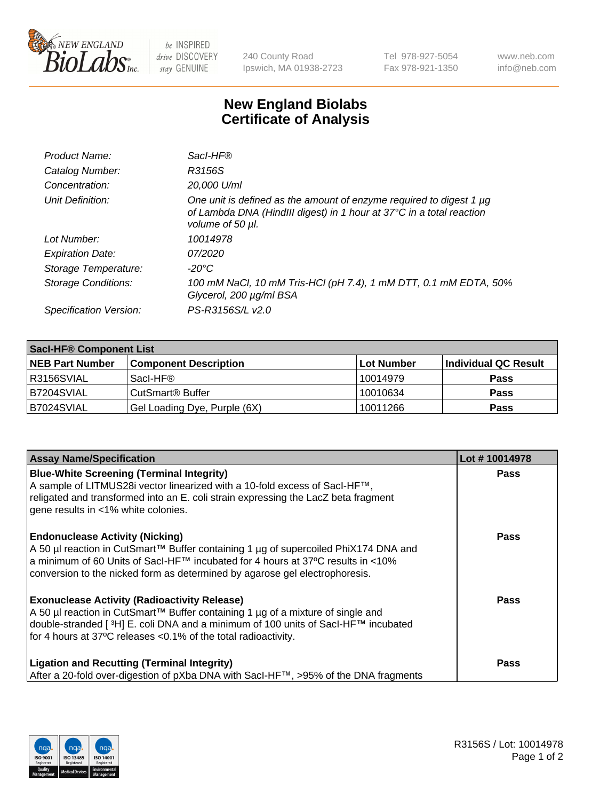

 $be$  INSPIRED drive DISCOVERY stay GENUINE

240 County Road Ipswich, MA 01938-2723 Tel 978-927-5054 Fax 978-921-1350 www.neb.com info@neb.com

## **New England Biolabs Certificate of Analysis**

| Product Name:              | Sacl-HF®                                                                                                                                                        |
|----------------------------|-----------------------------------------------------------------------------------------------------------------------------------------------------------------|
| Catalog Number:            | R3156S                                                                                                                                                          |
| Concentration:             | 20,000 U/ml                                                                                                                                                     |
| Unit Definition:           | One unit is defined as the amount of enzyme required to digest 1 µg<br>of Lambda DNA (HindIII digest) in 1 hour at 37°C in a total reaction<br>volume of 50 µl. |
| Lot Number:                | 10014978                                                                                                                                                        |
| <b>Expiration Date:</b>    | 07/2020                                                                                                                                                         |
| Storage Temperature:       | -20°C                                                                                                                                                           |
| <b>Storage Conditions:</b> | 100 mM NaCl, 10 mM Tris-HCl (pH 7.4), 1 mM DTT, 0.1 mM EDTA, 50%<br>Glycerol, 200 µg/ml BSA                                                                     |
| Specification Version:     | PS-R3156S/L v2.0                                                                                                                                                |

| <b>Saci-HF® Component List</b> |                              |            |                      |  |  |
|--------------------------------|------------------------------|------------|----------------------|--|--|
| <b>NEB Part Number</b>         | <b>Component Description</b> | Lot Number | Individual QC Result |  |  |
| I R3156SVIAL                   | Sacl-HF®                     | 10014979   | <b>Pass</b>          |  |  |
| IB7204SVIAL                    | CutSmart <sup>®</sup> Buffer | 10010634   | <b>Pass</b>          |  |  |
| B7024SVIAL                     | Gel Loading Dye, Purple (6X) | 10011266   | <b>Pass</b>          |  |  |

| <b>Assay Name/Specification</b>                                                                                                                                                                                                                                                                             | Lot #10014978 |
|-------------------------------------------------------------------------------------------------------------------------------------------------------------------------------------------------------------------------------------------------------------------------------------------------------------|---------------|
| <b>Blue-White Screening (Terminal Integrity)</b><br>A sample of LITMUS28i vector linearized with a 10-fold excess of SacI-HF™,<br>religated and transformed into an E. coli strain expressing the LacZ beta fragment<br>gene results in <1% white colonies.                                                 | <b>Pass</b>   |
| <b>Endonuclease Activity (Nicking)</b><br>A 50 µl reaction in CutSmart™ Buffer containing 1 µg of supercoiled PhiX174 DNA and<br>a minimum of 60 Units of Sacl-HF™ incubated for 4 hours at 37°C results in <10%<br>conversion to the nicked form as determined by agarose gel electrophoresis.             | <b>Pass</b>   |
| <b>Exonuclease Activity (Radioactivity Release)</b><br>A 50 µl reaction in CutSmart™ Buffer containing 1 µg of a mixture of single and<br>double-stranded [ <sup>3</sup> H] E. coli DNA and a minimum of 100 units of Sacl-HF™ incubated<br>for 4 hours at 37°C releases < 0.1% of the total radioactivity. | <b>Pass</b>   |
| <b>Ligation and Recutting (Terminal Integrity)</b><br>After a 20-fold over-digestion of pXba DNA with Sacl-HF™, >95% of the DNA fragments                                                                                                                                                                   | <b>Pass</b>   |